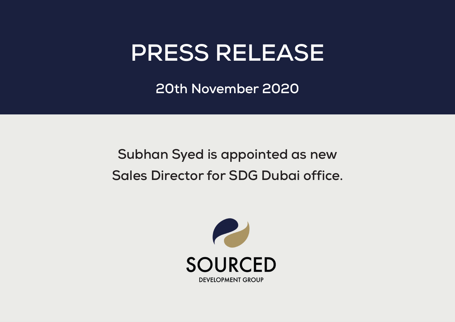## **PRESS RELEASE**

**20th November 2020**

## **Subhan Syed is appointed as new Sales Director for SDG Dubai office.**

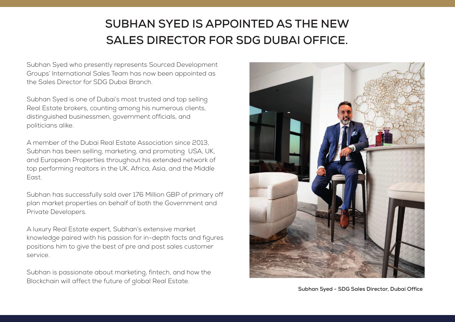## **SUBHAN SYED IS APPOINTED AS THE NEW SALES DIRECTOR FOR SDG DUBAI OFFICE.**

Subhan Syed who presently represents Sourced Development Groups' International Sales Team has now been appointed as the Sales Director for SDG Dubai Branch.

Subhan Syed is one of Dubai's most trusted and top selling Real Estate brokers, counting among his numerous clients, distinguished businessmen, government officials, and politicians alike.

A member of the Dubai Real Estate Association since 2013, Subhan has been selling, marketing, and promoting USA, UK, and European Properties throughout his extended network of top performing realtors in the UK, Africa, Asia, and the Middle East.

Subhan has successfully sold over 176 Million GBP of primary off plan market properties on behalf of both the Government and Private Developers.

A luxury Real Estate expert, Subhan's extensive market knowledge paired with his passion for in-depth facts and figures positions him to give the best of pre and post sales customer service.

Subhan is passionate about marketing, fintech, and how the Blockchain will affect the future of global Real Estate.



**Subhan Syed - SDG Sales Director, Dubai Office**